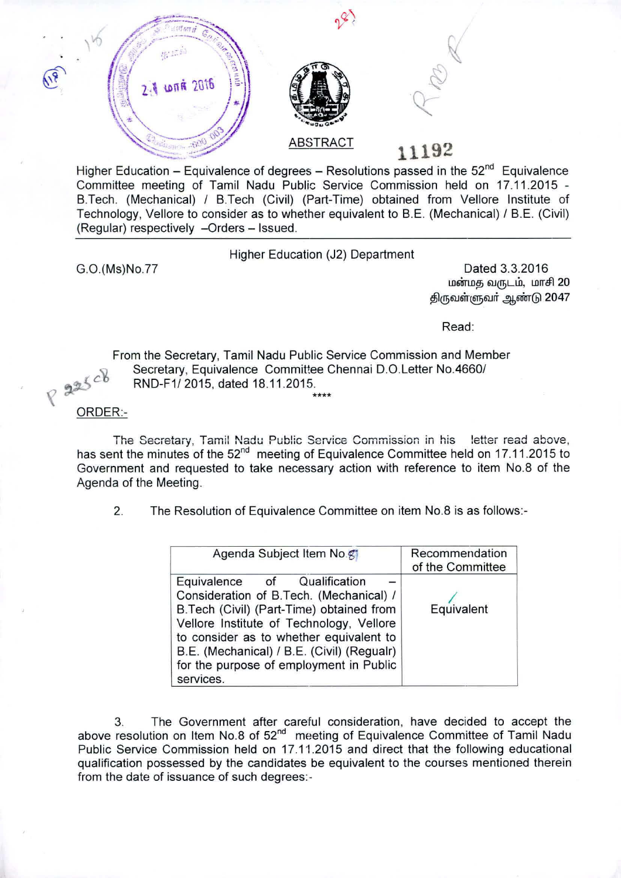



## z" ,. "-':-"Il ,~: ABSTRACT *~::t;;:;;C' ---* **11192**

Higher Education – Equivalence of degrees – Resolutions passed in the  $52<sup>nd</sup>$  Equivalence Committee meeting of Tamil Nadu Public Service Commission held on 17.11.2015 - B.Tech. (Mechanical) / B.Tech (Civil) (Part-Time) obtained from Vellore Institute of Technology, Vellore to consider as to whether equivalent to B.E. (Mechanical) / B.E. (Civil) (Regular) respectively -Orders - Issued.

Higher Education (J2) Department

G.O.(Ms)No.77

Dated 3.3.2016 மன்மத வருடம், மாசி 20 திருவள்ளுவர் ஆண்டு 2047

Read:

From the Secretary, Tamil Nadu Public Service Commission and Member Secretary, Equivalence Committee Chennai D.O.Letter No.4660/<br>RND-F1/2015, dated 18.11.2015. *c* RND-F1/2015, dated 18.11.2015. **\*\*\*\***

## ORDER:-

The Secretary, Tamil Nadu Public Service Commission in his letter read above, has sent the minutes of the 52<sup>nd</sup> meeting of Equivalence Committee held on 17.11.2015 to Government and requested to take necessary action with reference to item NO.8 of the Agenda of the Meeting.

2. The Resolution of Equivalence Committee on item NO.8 is as follows:-

| Agenda Subject Item No.                                                                                                                                                                                                                                                                                          | Recommendation<br>of the Committee |
|------------------------------------------------------------------------------------------------------------------------------------------------------------------------------------------------------------------------------------------------------------------------------------------------------------------|------------------------------------|
| Equivalence of Qualification<br>Consideration of B.Tech. (Mechanical) /<br>B.Tech (Civil) (Part-Time) obtained from<br>Vellore Institute of Technology, Vellore<br>to consider as to whether equivalent to<br>B.E. (Mechanical) / B.E. (Civil) (Regualr)<br>for the purpose of employment in Public<br>services. | Equivalent                         |

3. The Government after careful consideration, have decided to accept the above resolution on Item No.8 of 52<sup>nd</sup> meeting of Equivalence Committee of Tamil Nadu Public Service Commission held on 17.11.2015 and direct that the following educational qualification possessed by the candidates be equivalent to the courses mentioned therein from the date of issuance of such degrees:-